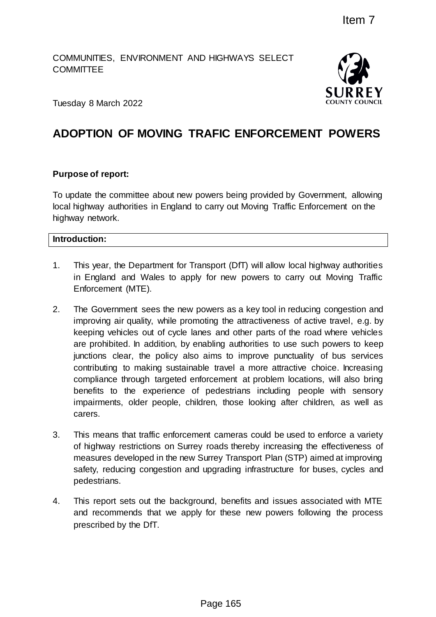COMMUNITIES, ENVIRONMENT AND HIGHWAYS SELECT **COMMITTEE** 



Tuesday 8 March 2022

# **ADOPTION OF MOVING TRAFIC ENFORCEMENT POWERS**

#### **Purpose of report:**

To update the committee about new powers being provided by Government, allowing local highway authorities in England to carry out Moving Traffic Enforcement on the highway network.

#### **Introduction:**

- 1. This year, the Department for Transport (DfT) will allow local highway authorities in England and Wales to apply for new powers to carry out Moving Traffic Enforcement (MTE).
- 2. The Government sees the new powers as a key tool in reducing congestion and improving air quality, while promoting the attractiveness of active travel, e.g. by keeping vehicles out of cycle lanes and other parts of the road where vehicles are prohibited. In addition, by enabling authorities to use such powers to keep junctions clear, the policy also aims to improve punctuality of bus services contributing to making sustainable travel a more attractive choice. Increasing compliance through targeted enforcement at problem locations, will also bring benefits to the experience of pedestrians including people with sensory impairments, older people, children, those looking after children, as well as carers. Item 7<br>
D HIGHWAYS SELECT<br>
SURRE<br>
SURRE<br>
SURRE<br>
NAFIC ENFORCEMENT POWER:<br>
SURRE<br>
NOWER SURRE<br>
NOWER SURRE<br>
NOWER SURRE<br>
NOWER SURRE<br>
NOWER SURRE<br>
NOWER SURP TO THE SURPER TO THE SURPER THE SURPER ONE<br>
INTERT OF THE SURRELY
- 3. This means that traffic enforcement cameras could be used to enforce a variety of highway restrictions on Surrey roads thereby increasing the effectiveness of measures developed in the new Surrey Transport Plan (STP) aimed at improving safety, reducing congestion and upgrading infrastructure for buses, cycles and pedestrians.
- 4. This report sets out the background, benefits and issues associated with MTE and recommends that we apply for these new powers following the process prescribed by the DfT.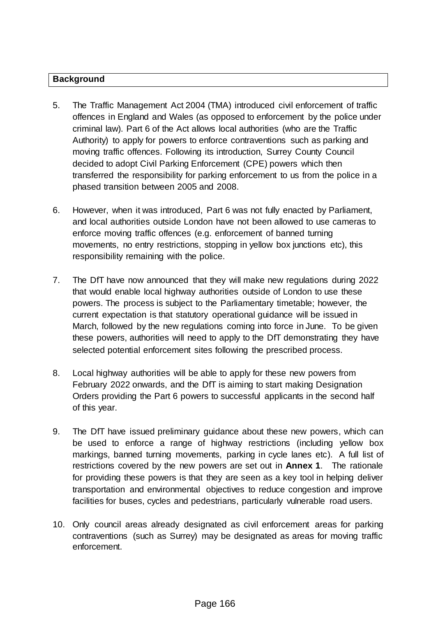#### **Background**

- 5. The Traffic Management Act 2004 (TMA) introduced civil enforcement of traffic offences in England and Wales (as opposed to enforcement by the police under criminal law). Part 6 of the Act allows local authorities (who are the Traffic Authority) to apply for powers to enforce contraventions such as parking and moving traffic offences. Following its introduction, Surrey County Council decided to adopt Civil Parking Enforcement (CPE) powers which then transferred the responsibility for parking enforcement to us from the police in a phased transition between 2005 and 2008.
- 6. However, when it was introduced, Part 6 was not fully enacted by Parliament, and local authorities outside London have not been allowed to use cameras to enforce moving traffic offences (e.g. enforcement of banned turning movements, no entry restrictions, stopping in yellow box junctions etc), this responsibility remaining with the police.
- 7. The DfT have now announced that they will make new regulations during 2022 that would enable local highway authorities outside of London to use these powers. The process is subject to the Parliamentary timetable; however, the current expectation is that statutory operational guidance will be issued in March, followed by the new regulations coming into force in June. To be given these powers, authorities will need to apply to the DfT demonstrating they have selected potential enforcement sites following the prescribed process.
- 8. Local highway authorities will be able to apply for these new powers from February 2022 onwards, and the DfT is aiming to start making Designation Orders providing the Part 6 powers to successful applicants in the second half of this year.
- 9. The DfT have issued preliminary guidance about these new powers, which can be used to enforce a range of highway restrictions (including yellow box markings, banned turning movements, parking in cycle lanes etc). A full list of restrictions covered by the new powers are set out in **Annex 1**. The rationale for providing these powers is that they are seen as a key tool in helping deliver transportation and environmental objectives to reduce congestion and improve facilities for buses, cycles and pedestrians, particularly vulnerable road users.
- 10. Only council areas already designated as civil enforcement areas for parking contraventions (such as Surrey) may be designated as areas for moving traffic enforcement.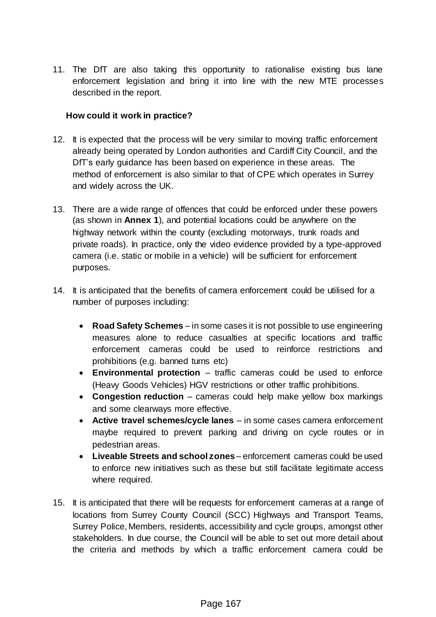11. The DfT are also taking this opportunity to rationalise existing bus lane enforcement legislation and bring it into line with the new MTE processes described in the report.

#### **How could it work in practice?**

- 12. It is expected that the process will be very similar to moving traffic enforcement already being operated by London authorities and Cardiff City Council, and the DfT's early guidance has been based on experience in these areas. The method of enforcement is also similar to that of CPE which operates in Surrey and widely across the UK.
- 13. There are a wide range of offences that could be enforced under these powers (as shown in **Annex 1**), and potential locations could be anywhere on the highway network within the county (excluding motorways, trunk roads and private roads). In practice, only the video evidence provided by a type-approved camera (i.e. static or mobile in a vehicle) will be sufficient for enforcement purposes.
- 14. It is anticipated that the benefits of camera enforcement could be utilised for a number of purposes including:
	- **Road Safety Schemes** in some cases it is not possible to use engineering measures alone to reduce casualties at specific locations and traffic enforcement cameras could be used to reinforce restrictions and prohibitions (e.g. banned turns etc)
	- **Environmental protection** traffic cameras could be used to enforce (Heavy Goods Vehicles) HGV restrictions or other traffic prohibitions.
	- **Congestion reduction** cameras could help make yellow box markings and some clearways more effective.
	- **Active travel schemes/cycle lanes** in some cases camera enforcement maybe required to prevent parking and driving on cycle routes or in pedestrian areas.
	- **Liveable Streets and school zones** enforcement cameras could be used to enforce new initiatives such as these but still facilitate legitimate access where required.
- 15. It is anticipated that there will be requests for enforcement cameras at a range of locations from Surrey County Council (SCC) Highways and Transport Teams, Surrey Police, Members, residents, accessibility and cycle groups, amongst other stakeholders. In due course, the Council will be able to set out more detail about the criteria and methods by which a traffic enforcement camera could be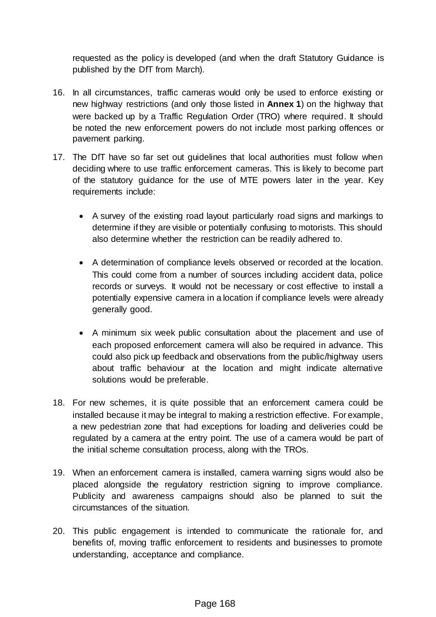requested as the policy is developed (and when the draft Statutory Guidance is published by the DfT from March).

- 16. In all circumstances, traffic cameras would only be used to enforce existing or new highway restrictions (and only those listed in **Annex 1**) on the highway that were backed up by a Traffic Regulation Order (TRO) where required. It should be noted the new enforcement powers do not include most parking offences or pavement parking.
- 17. The DfT have so far set out guidelines that local authorities must follow when deciding where to use traffic enforcement cameras. This is likely to become part of the statutory guidance for the use of MTE powers later in the year. Key requirements include:
	- A survey of the existing road layout particularly road signs and markings to determine if they are visible or potentially confusing to motorists. This should also determine whether the restriction can be readily adhered to.
	- A determination of compliance levels observed or recorded at the location. This could come from a number of sources including accident data, police records or surveys. It would not be necessary or cost effective to install a potentially expensive camera in a location if compliance levels were already generally good.
	- A minimum six week public consultation about the placement and use of each proposed enforcement camera will also be required in advance. This could also pick up feedback and observations from the public/highway users about traffic behaviour at the location and might indicate alternative solutions would be preferable.
- 18. For new schemes, it is quite possible that an enforcement camera could be installed because it may be integral to making a restriction effective. For example, a new pedestrian zone that had exceptions for loading and deliveries could be regulated by a camera at the entry point. The use of a camera would be part of the initial scheme consultation process, along with the TROs.
- 19. When an enforcement camera is installed, camera warning signs would also be placed alongside the regulatory restriction signing to improve compliance. Publicity and awareness campaigns should also be planned to suit the circumstances of the situation.
- 20. This public engagement is intended to communicate the rationale for, and benefits of, moving traffic enforcement to residents and businesses to promote understanding, acceptance and compliance.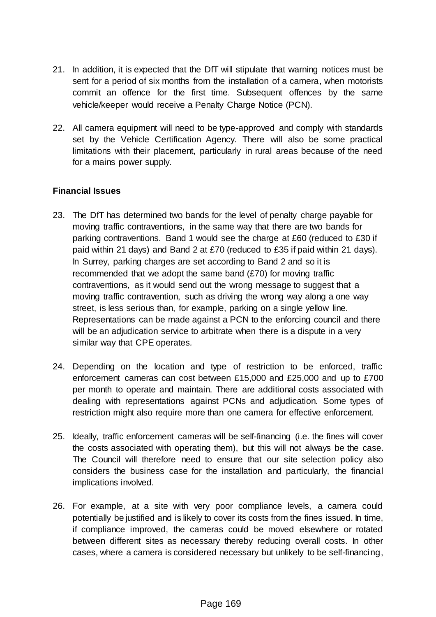- 21. In addition, it is expected that the DfT will stipulate that warning notices must be sent for a period of six months from the installation of a camera, when motorists commit an offence for the first time. Subsequent offences by the same vehicle/keeper would receive a Penalty Charge Notice (PCN).
- 22. All camera equipment will need to be type-approved and comply with standards set by the Vehicle Certification Agency. There will also be some practical limitations with their placement, particularly in rural areas because of the need for a mains power supply.

## **Financial Issues**

- 23. The DfT has determined two bands for the level of penalty charge payable for moving traffic contraventions, in the same way that there are two bands for parking contraventions. Band 1 would see the charge at £60 (reduced to £30 if paid within 21 days) and Band 2 at £70 (reduced to £35 if paid within 21 days). In Surrey, parking charges are set according to Band 2 and so it is recommended that we adopt the same band (£70) for moving traffic contraventions, as it would send out the wrong message to suggest that a moving traffic contravention, such as driving the wrong way along a one way street, is less serious than, for example, parking on a single yellow line. Representations can be made against a PCN to the enforcing council and there will be an adjudication service to arbitrate when there is a dispute in a very similar way that CPE operates*.*
- 24. Depending on the location and type of restriction to be enforced, traffic enforcement cameras can cost between £15,000 and £25,000 and up to £700 per month to operate and maintain. There are additional costs associated with dealing with representations against PCNs and adjudication. Some types of restriction might also require more than one camera for effective enforcement.
- 25. Ideally, traffic enforcement cameras will be self-financing (i.e. the fines will cover the costs associated with operating them), but this will not always be the case. The Council will therefore need to ensure that our site selection policy also considers the business case for the installation and particularly, the financial implications involved.
- 26. For example, at a site with very poor compliance levels, a camera could potentially be justified and is likely to cover its costs from the fines issued. In time, if compliance improved, the cameras could be moved elsewhere or rotated between different sites as necessary thereby reducing overall costs. In other cases, where a camera is considered necessary but unlikely to be self-financing,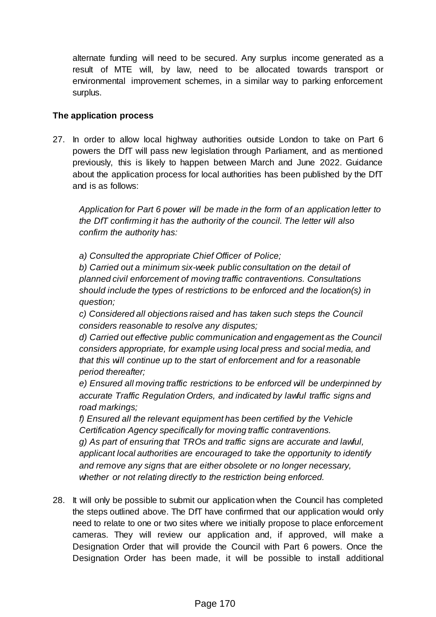alternate funding will need to be secured. Any surplus income generated as a result of MTE will, by law, need to be allocated towards transport or environmental improvement schemes, in a similar way to parking enforcement surplus.

#### **The application process**

27. In order to allow local highway authorities outside London to take on Part 6 powers the DfT will pass new legislation through Parliament, and as mentioned previously, this is likely to happen between March and June 2022. Guidance about the application process for local authorities has been published by the DfT and is as follows:

*Application for Part 6 power will be made in the form of an application letter to the DfT confirming it has the authority of the council. The letter will also confirm the authority has:*

*a) Consulted the appropriate Chief Officer of Police;*

*b) Carried out a minimum six-week public consultation on the detail of planned civil enforcement of moving traffic contraventions. Consultations should include the types of restrictions to be enforced and the location(s) in question;*

*c) Considered all objections raised and has taken such steps the Council considers reasonable to resolve any disputes;*

*d) Carried out effective public communication and engagement as the Council considers appropriate, for example using local press and social media, and that this will continue up to the start of enforcement and for a reasonable period thereafter;* 

*e) Ensured all moving traffic restrictions to be enforced will be underpinned by accurate Traffic Regulation Orders, and indicated by lawful traffic signs and road markings;*

*f) Ensured all the relevant equipment has been certified by the Vehicle Certification Agency specifically for moving traffic contraventions. g) As part of ensuring that TROs and traffic signs are accurate and lawful, applicant local authorities are encouraged to take the opportunity to identify and remove any signs that are either obsolete or no longer necessary, whether or not relating directly to the restriction being enforced.*

28. It will only be possible to submit our application when the Council has completed the steps outlined above. The DfT have confirmed that our application would only need to relate to one or two sites where we initially propose to place enforcement cameras. They will review our application and, if approved, will make a Designation Order that will provide the Council with Part 6 powers. Once the Designation Order has been made, it will be possible to install additional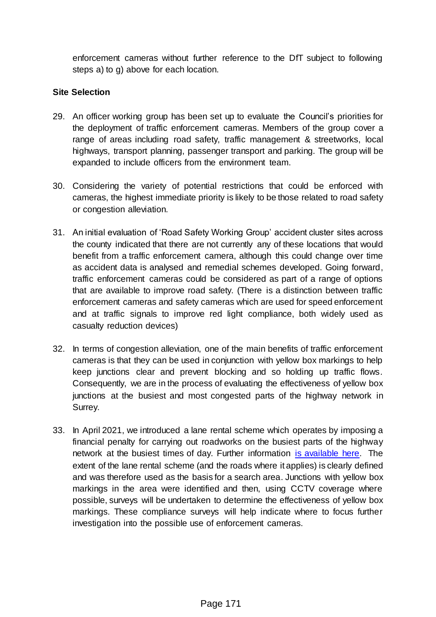enforcement cameras without further reference to the DfT subject to following steps a) to g) above for each location.

#### **Site Selection**

- 29. An officer working group has been set up to evaluate the Council's priorities for the deployment of traffic enforcement cameras. Members of the group cover a range of areas including road safety, traffic management & streetworks, local highways, transport planning, passenger transport and parking. The group will be expanded to include officers from the environment team.
- 30. Considering the variety of potential restrictions that could be enforced with cameras, the highest immediate priority is likely to be those related to road safety or congestion alleviation.
- 31. An initial evaluation of 'Road Safety Working Group' accident cluster sites across the county indicated that there are not currently any of these locations that would benefit from a traffic enforcement camera, although this could change over time as accident data is analysed and remedial schemes developed. Going forward, traffic enforcement cameras could be considered as part of a range of options that are available to improve road safety. (There is a distinction between traffic enforcement cameras and safety cameras which are used for speed enforcement and at traffic signals to improve red light compliance, both widely used as casualty reduction devices)
- 32. In terms of congestion alleviation, one of the main benefits of traffic enforcement cameras is that they can be used in conjunction with yellow box markings to help keep junctions clear and prevent blocking and so holding up traffic flows. Consequently, we are in the process of evaluating the effectiveness of yellow box junctions at the busiest and most congested parts of the highway network in Surrey.
- 33. In April 2021, we introduced a lane rental scheme which operates by imposing a financial penalty for carrying out roadworks on the busiest parts of the highway network at the busiest times of day. Further information [is available here.](https://www.arcgis.com/apps/webappviewer/index.html?id=bc612edf9a7647c08360c9d658c0757c) The extent of the lane rental scheme (and the roads where it applies) is clearly defined and was therefore used as the basis for a search area. Junctions with yellow box markings in the area were identified and then, using CCTV coverage where possible, surveys will be undertaken to determine the effectiveness of yellow box markings. These compliance surveys will help indicate where to focus further investigation into the possible use of enforcement cameras.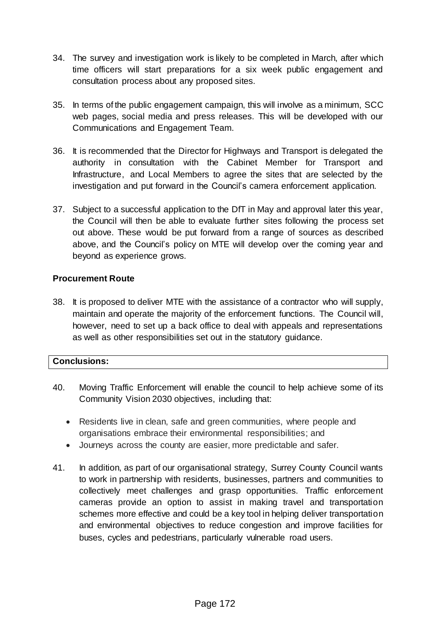- 34. The survey and investigation work is likely to be completed in March, after which time officers will start preparations for a six week public engagement and consultation process about any proposed sites.
- 35. In terms of the public engagement campaign, this will involve as a minimum, SCC web pages, social media and press releases. This will be developed with our Communications and Engagement Team.
- 36. It is recommended that the Director for Highways and Transport is delegated the authority in consultation with the Cabinet Member for Transport and Infrastructure, and Local Members to agree the sites that are selected by the investigation and put forward in the Council's camera enforcement application.
- 37. Subject to a successful application to the DfT in May and approval later this year, the Council will then be able to evaluate further sites following the process set out above. These would be put forward from a range of sources as described above, and the Council's policy on MTE will develop over the coming year and beyond as experience grows.

## **Procurement Route**

38. It is proposed to deliver MTE with the assistance of a contractor who will supply, maintain and operate the majority of the enforcement functions. The Council will, however, need to set up a back office to deal with appeals and representations as well as other responsibilities set out in the statutory guidance.

## **Conclusions:**

- 40. Moving Traffic Enforcement will enable the council to help achieve some of its Community Vision 2030 objectives, including that:
	- Residents live in clean, safe and green communities, where people and organisations embrace their environmental responsibilities; and
	- Journeys across the county are easier, more predictable and safer.
- 41. In addition, as part of our organisational strategy, Surrey County Council wants to work in partnership with residents, businesses, partners and communities to collectively meet challenges and grasp opportunities. Traffic enforcement cameras provide an option to assist in making travel and transportation schemes more effective and could be a key tool in helping deliver transportation and environmental objectives to reduce congestion and improve facilities for buses, cycles and pedestrians, particularly vulnerable road users.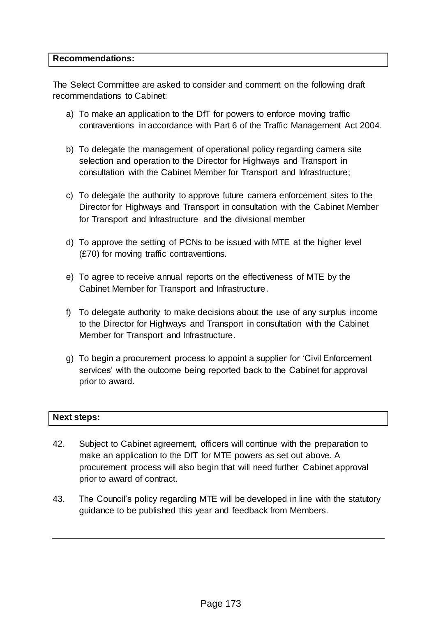#### **Recommendations:**

The Select Committee are asked to consider and comment on the following draft recommendations to Cabinet:

- a) To make an application to the DfT for powers to enforce moving traffic contraventions in accordance with Part 6 of the Traffic Management Act 2004.
- b) To delegate the management of operational policy regarding camera site selection and operation to the Director for Highways and Transport in consultation with the Cabinet Member for Transport and Infrastructure;
- c) To delegate the authority to approve future camera enforcement sites to the Director for Highways and Transport in consultation with the Cabinet Member for Transport and Infrastructure and the divisional member
- d) To approve the setting of PCNs to be issued with MTE at the higher level (£70) for moving traffic contraventions.
- e) To agree to receive annual reports on the effectiveness of MTE by the Cabinet Member for Transport and Infrastructure.
- f) To delegate authority to make decisions about the use of any surplus income to the Director for Highways and Transport in consultation with the Cabinet Member for Transport and Infrastructure.
- g) To begin a procurement process to appoint a supplier for 'Civil Enforcement services' with the outcome being reported back to the Cabinet for approval prior to award.

#### **Next steps:**

- 42. Subject to Cabinet agreement, officers will continue with the preparation to make an application to the DfT for MTE powers as set out above. A procurement process will also begin that will need further Cabinet approval prior to award of contract.
- 43. The Council's policy regarding MTE will be developed in line with the statutory guidance to be published this year and feedback from Members.